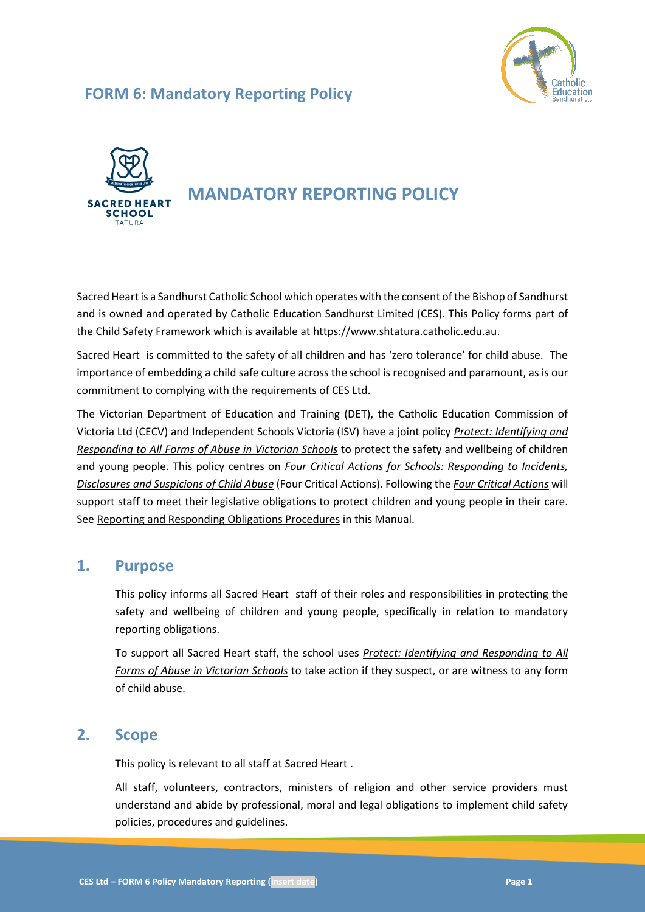

# **FORM 6: Mandatory Reporting Policy**



# **MANDATORY REPORTING POLICY**

Sacred Heartis a Sandhurst Catholic School which operates with the consent of the Bishop of Sandhurst and is owned and operated by Catholic Education Sandhurst Limited (CES). This Policy forms part of the Child Safety Framework which is available at https://www.shtatura.catholic.edu.au.

Sacred Heart is committed to the safety of all children and has 'zero tolerance' for child abuse. The importance of embedding a child safe culture across the school is recognised and paramount, as is our commitment to complying with the requirements of CES Ltd.

The Victorian Department of Education and Training (DET), the Catholic Education Commission of Victoria Ltd (CECV) and Independent Schools Victoria (ISV) have a joint policy *[Protect: Identifying and](https://www.education.vic.gov.au/Documents/about/programs/health/protect/ChildSafeStandard5_SchoolsGuide.pdf)  [Responding to All Forms of Abuse in Victorian Schools](https://www.education.vic.gov.au/Documents/about/programs/health/protect/ChildSafeStandard5_SchoolsGuide.pdf)* to protect the safety and wellbeing of children and young people. This policy centres on *Four Critical Actions for Schools: Responding to Incidents, Disclosures and Suspicions of Child Abuse* (Four Critical Actions). Following the *Four Critical Actions* will support staff to meet their legislative obligations to protect children and young people in their care. See Reporting and Responding Obligations Procedures in this Manual.

### **1. Purpose**

This policy informs all Sacred Heart staff of their roles and responsibilities in protecting the safety and wellbeing of children and young people, specifically in relation to mandatory reporting obligations.

To support all Sacred Heart staff, the school uses *[Protect: Identifying and Responding to All](https://www.education.vic.gov.au/Documents/about/programs/health/protect/ChildSafeStandard5_SchoolsGuide.pdf)  [Forms of Abuse in Victorian Schools](https://www.education.vic.gov.au/Documents/about/programs/health/protect/ChildSafeStandard5_SchoolsGuide.pdf)* to take action if they suspect, or are witness to any form of child abuse.

### **2. Scope**

This policy is relevant to all staff at Sacred Heart .

All staff, volunteers, contractors, ministers of religion and other service providers must understand and abide by professional, moral and legal obligations to implement child safety policies, procedures and guidelines.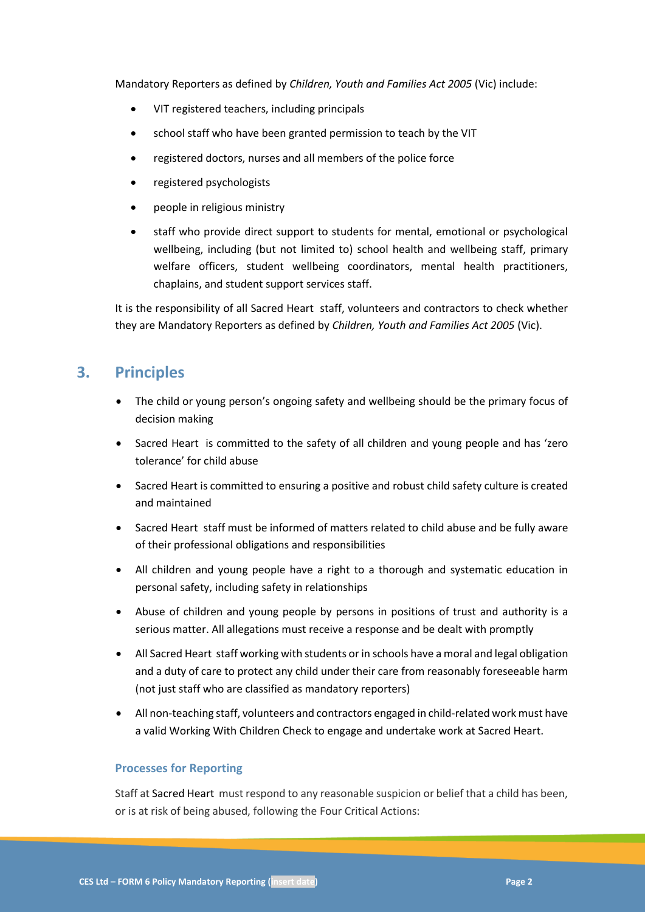Mandatory Reporters as defined by *Children, Youth and Families Act 2005* (Vic) include:

- VIT registered teachers, including principals
- school staff who have been granted permission to teach by the VIT
- registered doctors, nurses and all members of the police force
- registered psychologists
- people in religious ministry
- staff who provide direct support to students for mental, emotional or psychological wellbeing, including (but not limited to) school health and wellbeing staff, primary welfare officers, student wellbeing coordinators, mental health practitioners, chaplains, and student support services staff.

It is the responsibility of all Sacred Heart staff, volunteers and contractors to check whether they are Mandatory Reporters as defined by *Children, Youth and Families Act 2005* (Vic).

### **3. Principles**

- The child or young person's ongoing safety and wellbeing should be the primary focus of decision making
- Sacred Heart is committed to the safety of all children and young people and has 'zero tolerance' for child abuse
- Sacred Heart is committed to ensuring a positive and robust child safety culture is created and maintained
- Sacred Heart staff must be informed of matters related to child abuse and be fully aware of their professional obligations and responsibilities
- All children and young people have a right to a thorough and systematic education in personal safety, including safety in relationships
- Abuse of children and young people by persons in positions of trust and authority is a serious matter. All allegations must receive a response and be dealt with promptly
- All Sacred Heart staff working with students or in schools have a moral and legal obligation and a duty of care to protect any child under their care from reasonably foreseeable harm (not just staff who are classified as mandatory reporters)
- All non-teaching staff, volunteers and contractors engaged in child-related work must have a valid Working With Children Check to engage and undertake work at Sacred Heart.

#### **Processes for Reporting**

Staff at Sacred Heart must respond to any reasonable suspicion or belief that a child has been, or is at risk of being abused, following the Four Critical Actions: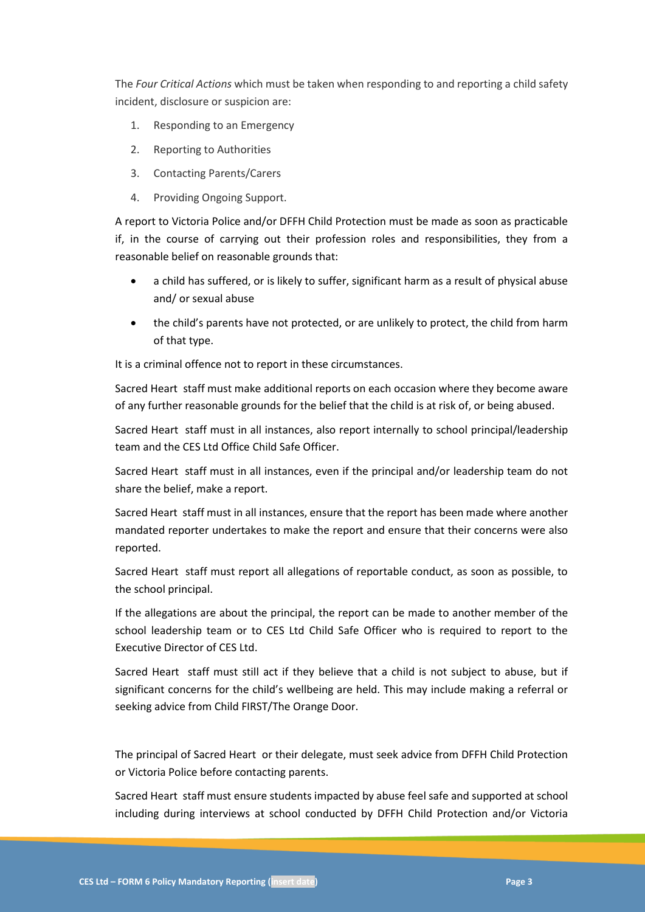The *Four Critical Actions* which must be taken when responding to and reporting a child safety incident, disclosure or suspicion are:

- 1. Responding to an Emergency
- 2. Reporting to Authorities
- 3. Contacting Parents/Carers
- 4. Providing Ongoing Support.

A report to Victoria Police and/or DFFH Child Protection must be made as soon as practicable if, in the course of carrying out their profession roles and responsibilities, they from a reasonable belief on reasonable grounds that:

- a child has suffered, or is likely to suffer, significant harm as a result of physical abuse and/ or sexual abuse
- the child's parents have not protected, or are unlikely to protect, the child from harm of that type.

It is a criminal offence not to report in these circumstances.

Sacred Heart staff must make additional reports on each occasion where they become aware of any further reasonable grounds for the belief that the child is at risk of, or being abused.

Sacred Heart staff must in all instances, also report internally to school principal/leadership team and the CES Ltd Office Child Safe Officer.

Sacred Heart staff must in all instances, even if the principal and/or leadership team do not share the belief, make a report.

Sacred Heart staff must in all instances, ensure that the report has been made where another mandated reporter undertakes to make the report and ensure that their concerns were also reported.

Sacred Heart staff must report all allegations of reportable conduct, as soon as possible, to the school principal.

If the allegations are about the principal, the report can be made to another member of the school leadership team or to CES Ltd Child Safe Officer who is required to report to the Executive Director of CES Ltd.

Sacred Heart staff must still act if they believe that a child is not subject to abuse, but if significant concerns for the child's wellbeing are held. This may include making a referral or seeking advice from Child FIRST/The Orange Door.

The principal of Sacred Heart or their delegate, must seek advice from DFFH Child Protection or Victoria Police before contacting parents.

Sacred Heart staff must ensure students impacted by abuse feel safe and supported at school including during interviews at school conducted by DFFH Child Protection and/or Victoria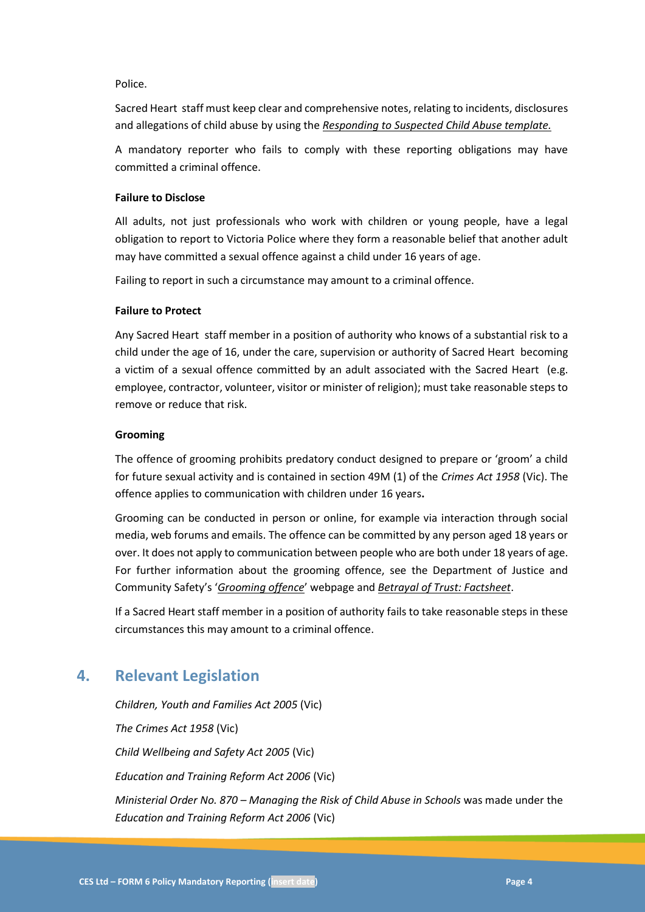#### Police.

Sacred Heart staff must keep clear and comprehensive notes, relating to incidents, disclosures and allegations of child abuse by using the *[Responding to Suspected Child Abuse template.](https://www.education.vic.gov.au/Documents/about/programs/health/protect/PROTECT_Schoolstemplate.pdf)*

A mandatory reporter who fails to comply with these reporting obligations may have committed a criminal offence.

#### **Failure to Disclose**

All adults, not just professionals who work with children or young people, have a legal obligation to report to Victoria Police where they form a reasonable belief that another adult may have committed a sexual offence against a child under 16 years of age.

Failing to report in such a circumstance may amount to a criminal offence.

#### **Failure to Protect**

Any Sacred Heart staff member in a position of authority who knows of a substantial risk to a child under the age of 16, under the care, supervision or authority of Sacred Heart becoming a victim of a sexual offence committed by an adult associated with the Sacred Heart (e.g. employee, contractor, volunteer, visitor or minister of religion); must take reasonable steps to remove or reduce that risk.

#### **Grooming**

The offence of grooming prohibits predatory conduct designed to prepare or 'groom' a child for future sexual activity and is contained in section 49M (1) of the *Crimes Act 1958* (Vic). The offence applies to communication with children under 16 years**.**

Grooming can be conducted in person or online, for example via interaction through social media, web forums and emails. The offence can be committed by any person aged 18 years or over. It does not apply to communication between people who are both under 18 years of age. For further information about the grooming offence, see the Department of Justice and Community Safety's '*[Grooming offence](https://www.justice.vic.gov.au/safer-communities/protecting-children-and-families/grooming-offence)*' webpage and *[Betrayal of Trust: Factsheet](https://www.justice.vic.gov.au/safer-communities/protecting-children-and-families/betrayal-of-trust-fact-sheet-the-new)*.

If a Sacred Heart staff member in a position of authority fails to take reasonable steps in these circumstances this may amount to a criminal offence.

### **4. Relevant Legislation**

*Children, Youth and Families Act 2005* (Vic) *The Crimes Act 1958* (Vic) *Child Wellbeing and Safety Act 2005* (Vic) *Education and Training Reform Act 2006* (Vic) *Ministerial Order No. 870 – Managing the Risk of Child Abuse in Schools* was made under the *Education and Training Reform Act 2006* (Vic)